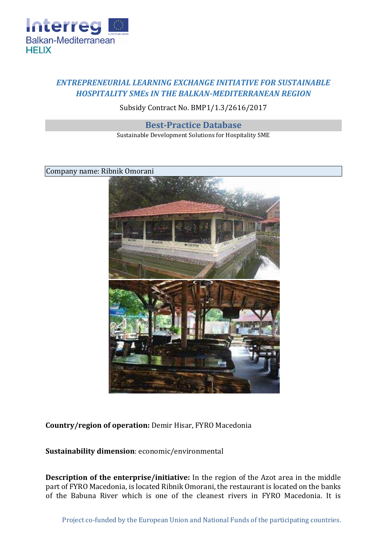

## *ENTREPRENEURIAL LEARNING EXCHANGE INITIATIVE FOR SUSTAINABLE HOSPITALITY SMEs IN THE BALKAN-MEDITERRANEAN REGION*

## Subsidy Contract No. BMP1/1.3/2616/2017

## **Best-Practice Database**

Sustainable Development Solutions for Hospitality SME

Company name: Ribnik Omorani



**Country/region of operation:** Demir Hisar, FYRO Macedonia

**Sustainability dimension**: economic/environmental

**Description of the enterprise/initiative:** In the region of the Azot area in the middle part of FYRO Macedonia, is located Ribnik Omorani, the restaurant is located on the banks of the Babuna River which is one of the cleanest rivers in FYRO Macedonia. It is

Project co-funded by the European Union and National Funds of the participating countries.